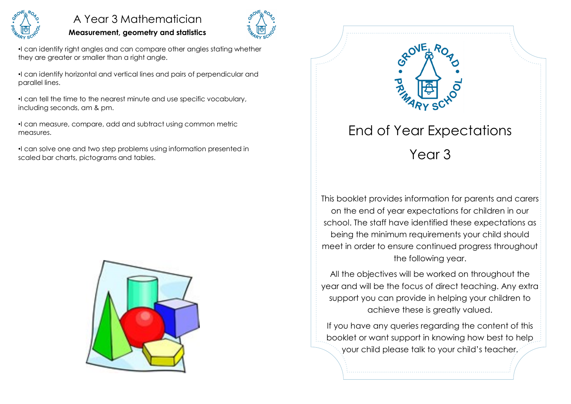

## A Year 3 Mathematician

#### **Measurement, geometry and statistics**



•I can identify right angles and can compare other angles stating whether they are greater or smaller than a right angle.

•I can identify horizontal and vertical lines and pairs of perpendicular and parallel lines.

•I can tell the time to the nearest minute and use specific vocabulary, including seconds, am & pm.

•I can measure, compare, add and subtract using common metric measures.

•I can solve one and two step problems using information presented in scaled bar charts, pictograms and tables.





This booklet provides information for parents and carers on the end of year expectations for children in our school. The staff have identified these expectations as being the minimum requirements your child should meet in order to ensure continued progress throughout the following year.

All the objectives will be worked on throughout the year and will be the focus of direct teaching. Any extra support you can provide in helping your children to achieve these is greatly valued.

If you have any queries regarding the content of this booklet or want support in knowing how best to help your child please talk to your child's teacher.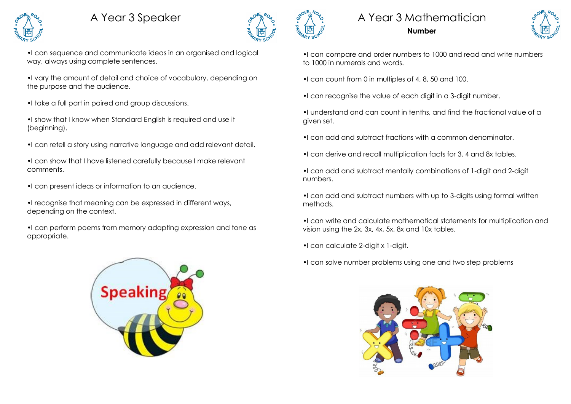# A Year 3 Speaker



•I can sequence and communicate ideas in an organised and logical way, always using complete sentences.

•I vary the amount of detail and choice of vocabulary, depending on the purpose and the audience.

- •I take a full part in paired and group discussions.
- •I show that I know when Standard English is required and use it (beginning).
- •I can retell a story using narrative language and add relevant detail.
- •I can show that I have listened carefully because I make relevant comments.
- •I can present ideas or information to an audience.
- •I recognise that meaning can be expressed in different ways, depending on the context.

•I can perform poems from memory adapting expression and tone as appropriate.







•I can compare and order numbers to 1000 and read and write numbers to 1000 in numerals and words.

- •I can count from 0 in multiples of 4, 8, 50 and 100.
- •I can recognise the value of each digit in a 3-digit number.

•I understand and can count in tenths, and find the fractional value of a given set.

- •I can add and subtract fractions with a common denominator.
- •I can derive and recall multiplication facts for 3, 4 and 8x tables.
- •I can add and subtract mentally combinations of 1-digit and 2-digit numbers.
- •I can add and subtract numbers with up to 3-digits using formal written methods.
- •I can write and calculate mathematical statements for multiplication and vision using the 2x, 3x, 4x, 5x, 8x and 10x tables.
- •I can calculate 2-digit x 1-digit.
- •I can solve number problems using one and two step problems

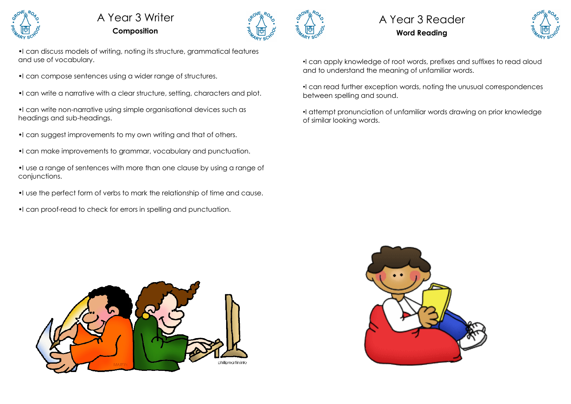

## A Year 3 Writer **Composition**



## A Year 3 Reader **Word Reading**



•I can discuss models of writing, noting its structure, grammatical features and use of vocabulary.

•I can compose sentences using a wider range of structures.

•I can write a narrative with a clear structure, setting, characters and plot.

•I can write non-narrative using simple organisational devices such as headings and sub-headings.

- •I can suggest improvements to my own writing and that of others.
- •I can make improvements to grammar, vocabulary and punctuation.

•I use a range of sentences with more than one clause by using a range of conjunctions.

- •I use the perfect form of verbs to mark the relationship of time and cause.
- •I can proof-read to check for errors in spelling and punctuation.



•I can read further exception words, noting the unusual correspondences between spelling and sound.

•I attempt pronunciation of unfamiliar words drawing on prior knowledge of similar looking words.